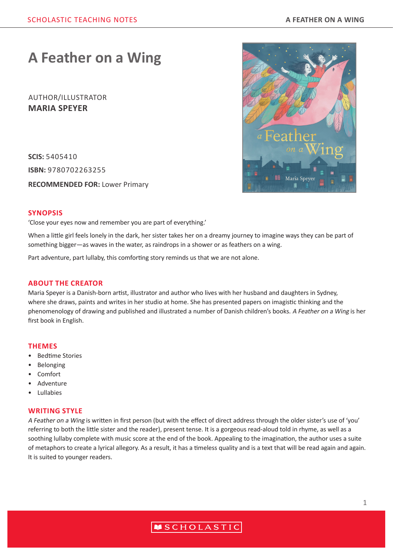# **A Feather on a Wing**

## AUTHOR/ILLUSTRATOR **MARIA SPEYER**

**SCIS:** 5405410 **ISBN:** 9780702263255

**RECOMMENDED FOR:** Lower Primary



#### **SYNOPSIS**

'Close your eyes now and remember you are part of everything.'

When a little girl feels lonely in the dark, her sister takes her on a dreamy journey to imagine ways they can be part of something bigger—as waves in the water, as raindrops in a shower or as feathers on a wing.

Part adventure, part lullaby, this comforting story reminds us that we are not alone.

#### **ABOUT THE CREATOR**

Maria Speyer is a Danish-born artist, illustrator and author who lives with her husband and daughters in Sydney, where she draws, paints and writes in her studio at home. She has presented papers on imagistic thinking and the phenomenology of drawing and published and illustrated a number of Danish children's books. A Feather on a Wing is her first book in English.

#### **THEMES**

- Bedtime Stories
- Belonging
- Comfort
- Adventure
- Lullabies

#### **WRITING STYLE**

A Feather on a Wing is written in first person (but with the effect of direct address through the older sister's use of 'you' referring to both the little sister and the reader), present tense. It is a gorgeous read-aloud told in rhyme, as well as a soothing lullaby complete with music score at the end of the book. Appealing to the imagination, the author uses a suite of metaphors to create a lyrical allegory. As a result, it has a timeless quality and is a text that will be read again and again. It is suited to younger readers.

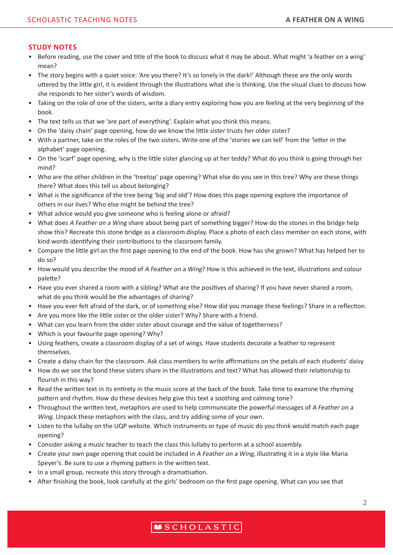### **STUDY NOTES**

- Before reading, use the cover and title of the book to discuss what it may be about. What might 'a feather on a wing' mean?
- The story begins with a quiet voice: 'Are you there? It's so lonely in the dark!' Although these are the only words uttered by the little girl, it is evident through the illustrations what she is thinking. Use the visual clues to discuss how she responds to her sister's words of wisdom.
- Taking on the role of one of the sisters, write a diary entry exploring how you are feeling at the very beginning of the book.
- The text tells us that we 'are part of everything'. Explain what you think this means.
- On the 'daisy chain' page opening, how do we know the little sister trusts her older sister?
- With a partner, take on the roles of the two sisters. Write one of the 'stories we can tell' from the 'letter in the alphabet' page opening.
- On the 'scarf' page opening, why is the little sister glancing up at her teddy? What do you think is going through her mind?
- Who are the other children in the 'treetop' page opening? What else do you see in this tree? Why are these things there? What does this tell us about belonging?
- What is the significance of the tree being 'big and old'? How does this page opening explore the importance of others in our lives? Who else might be behind the tree?
- What advice would you give someone who is feeling alone or afraid?
- What does A Feather on a Wing share about being part of something bigger? How do the stones in the bridge help show this? Recreate this stone bridge as a classroom display. Place a photo of each class member on each stone, with kind words identifying their contributions to the classroom family.
- Compare the little girl on the first page opening to the end of the book. How has she grown? What has helped her to do so?
- How would you describe the mood of A Feather on a Wing? How is this achieved in the text, illustrations and colour palette?
- Have you ever shared a room with a sibling? What are the positives of sharing? If you have never shared a room, what do you think would be the advantages of sharing?
- Have you ever felt afraid of the dark, or of something else? How did you manage these feelings? Share in a reflection.
- Are you more like the little sister or the older sister? Why? Share with a friend.
- What can you learn from the older sister about courage and the value of togetherness?
- Which is your favourite page opening? Why?
- Using feathers, create a classroom display of a set of wings. Have students decorate a feather to represent themselves.
- Create a daisy chain for the classroom. Ask class members to write affirmations on the petals of each students' daisy.
- How do we see the bond these sisters share in the illustrations and text? What has allowed their relationship to flourish in this way?
- Read the written text in its entirety in the music score at the back of the book. Take time to examine the rhyming pattern and rhythm. How do these devices help give this text a soothing and calming tone?
- Throughout the written text, metaphors are used to help communicate the powerful messages of A Feather on a Wing. Unpack these metaphors with the class, and try adding some of your own.
- Listen to the lullaby on the UQP website. Which instruments or type of music do you think would match each page opening?
- Consider asking a music teacher to teach the class this lullaby to perform at a school assembly.
- Create your own page opening that could be included in A Feather on a Wing, illustrating it in a style like Maria Speyer's. Be sure to use a rhyming pattern in the written text.
- In a small group, recreate this story through a dramatisation.
- After finishing the book, look carefully at the girls' bedroom on the first page opening. What can you see that